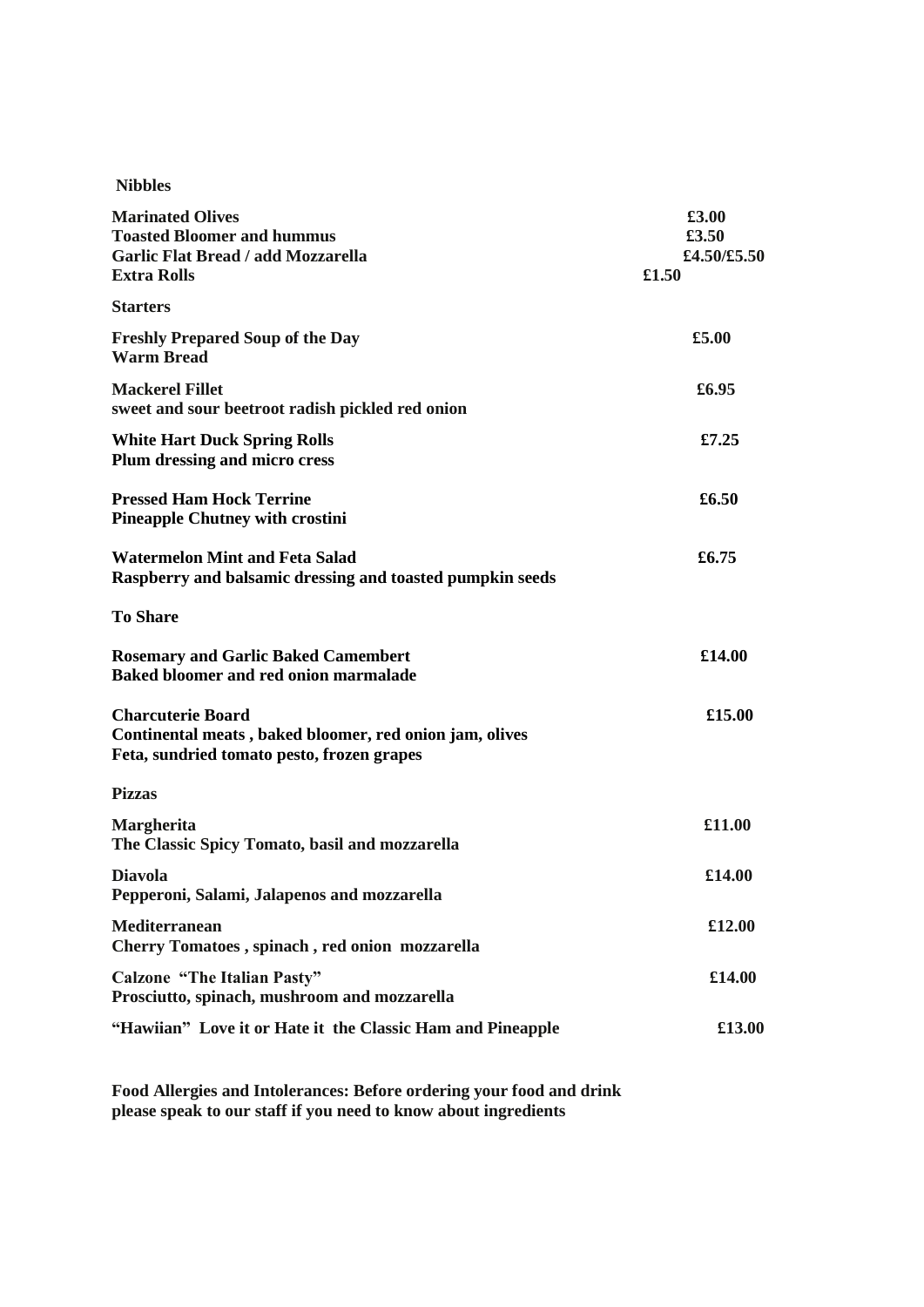| <b>Marinated Olives</b><br><b>Toasted Bloomer and hummus</b><br><b>Garlic Flat Bread / add Mozzarella</b><br><b>Extra Rolls</b>   | £3.00<br>£3.50<br>£4.50/£5.50<br>£1.50 |
|-----------------------------------------------------------------------------------------------------------------------------------|----------------------------------------|
| <b>Starters</b>                                                                                                                   |                                        |
| <b>Freshly Prepared Soup of the Day</b><br><b>Warm Bread</b>                                                                      | £5.00                                  |
| <b>Mackerel Fillet</b><br>sweet and sour beetroot radish pickled red onion                                                        | £6.95                                  |
| <b>White Hart Duck Spring Rolls</b><br>Plum dressing and micro cress                                                              | £7.25                                  |
| <b>Pressed Ham Hock Terrine</b><br><b>Pineapple Chutney with crostini</b>                                                         | £6.50                                  |
| <b>Watermelon Mint and Feta Salad</b><br>Raspberry and balsamic dressing and toasted pumpkin seeds                                | £6.75                                  |
| <b>To Share</b>                                                                                                                   |                                        |
| <b>Rosemary and Garlic Baked Camembert</b><br>Baked bloomer and red onion marmalade                                               | £14.00                                 |
| <b>Charcuterie Board</b><br>Continental meats, baked bloomer, red onion jam, olives<br>Feta, sundried tomato pesto, frozen grapes | £15.00                                 |
| <b>Pizzas</b>                                                                                                                     |                                        |
| Margherita<br>The Classic Spicy Tomato, basil and mozzarella                                                                      | £11.00                                 |
| <b>Diavola</b><br>Pepperoni, Salami, Jalapenos and mozzarella                                                                     | £14.00                                 |
| <b>Mediterranean</b><br>Cherry Tomatoes, spinach, red onion mozzarella                                                            | £12.00                                 |
| <b>Calzone "The Italian Pasty"</b><br>Prosciutto, spinach, mushroom and mozzarella                                                | £14.00                                 |
| "Hawiian" Love it or Hate it the Classic Ham and Pineapple                                                                        | £13.00                                 |

**Food Allergies and Intolerances: Before ordering your food and drink please speak to our staff if you need to know about ingredients**